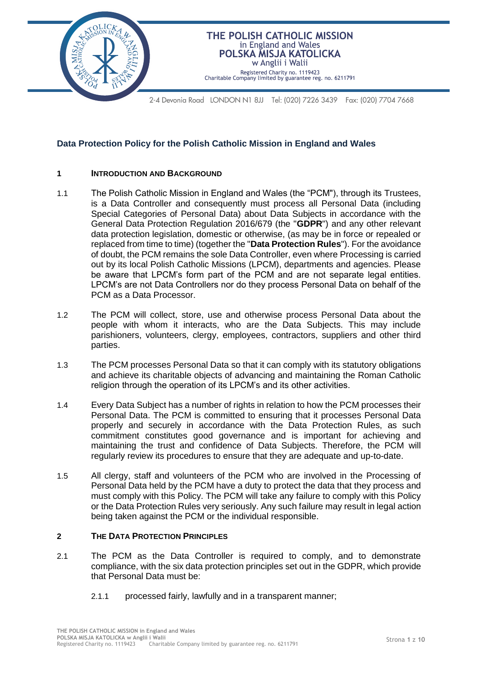

# **Data Protection Policy for the Polish Catholic Mission in England and Wales**

## **1 INTRODUCTION AND BACKGROUND**

- 1.1 The Polish Catholic Mission in England and Wales (the "PCM"), through its Trustees, is a Data Controller and consequently must process all Personal Data (including Special Categories of Personal Data) about Data Subjects in accordance with the General Data Protection Regulation 2016/679 (the "**GDPR**") and any other relevant data protection legislation, domestic or otherwise, (as may be in force or repealed or replaced from time to time) (together the "**Data Protection Rules**"). For the avoidance of doubt, the PCM remains the sole Data Controller, even where Processing is carried out by its local Polish Catholic Missions (LPCM), departments and agencies. Please be aware that LPCM's form part of the PCM and are not separate legal entities. LPCM's are not Data Controllers nor do they process Personal Data on behalf of the PCM as a Data Processor.
- 1.2 The PCM will collect, store, use and otherwise process Personal Data about the people with whom it interacts, who are the Data Subjects. This may include parishioners, volunteers, clergy, employees, contractors, suppliers and other third parties.
- 1.3 The PCM processes Personal Data so that it can comply with its statutory obligations and achieve its charitable objects of advancing and maintaining the Roman Catholic religion through the operation of its LPCM's and its other activities.
- 1.4 Every Data Subject has a number of rights in relation to how the PCM processes their Personal Data. The PCM is committed to ensuring that it processes Personal Data properly and securely in accordance with the Data Protection Rules, as such commitment constitutes good governance and is important for achieving and maintaining the trust and confidence of Data Subjects. Therefore, the PCM will regularly review its procedures to ensure that they are adequate and up-to-date.
- 1.5 All clergy, staff and volunteers of the PCM who are involved in the Processing of Personal Data held by the PCM have a duty to protect the data that they process and must comply with this Policy. The PCM will take any failure to comply with this Policy or the Data Protection Rules very seriously. Any such failure may result in legal action being taken against the PCM or the individual responsible.

## **2 THE DATA PROTECTION PRINCIPLES**

- 2.1 The PCM as the Data Controller is required to comply, and to demonstrate compliance, with the six data protection principles set out in the GDPR, which provide that Personal Data must be:
	- 2.1.1 processed fairly, lawfully and in a transparent manner;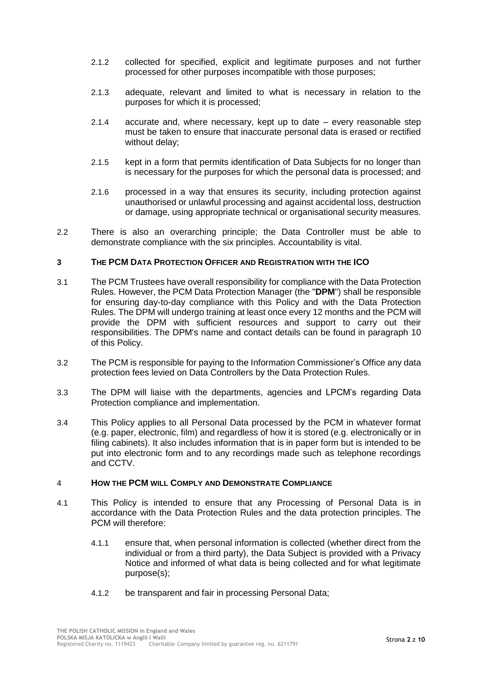- 2.1.2 collected for specified, explicit and legitimate purposes and not further processed for other purposes incompatible with those purposes;
- 2.1.3 adequate, relevant and limited to what is necessary in relation to the purposes for which it is processed;
- 2.1.4 accurate and, where necessary, kept up to date every reasonable step must be taken to ensure that inaccurate personal data is erased or rectified without delay;
- 2.1.5 kept in a form that permits identification of Data Subjects for no longer than is necessary for the purposes for which the personal data is processed; and
- 2.1.6 processed in a way that ensures its security, including protection against unauthorised or unlawful processing and against accidental loss, destruction or damage, using appropriate technical or organisational security measures.
- 2.2 There is also an overarching principle; the Data Controller must be able to demonstrate compliance with the six principles. Accountability is vital.

## **3 THE PCM DATA PROTECTION OFFICER AND REGISTRATION WITH THE ICO**

- 3.1 The PCM Trustees have overall responsibility for compliance with the Data Protection Rules. However, the PCM Data Protection Manager (the "**DPM**") shall be responsible for ensuring day-to-day compliance with this Policy and with the Data Protection Rules. The DPM will undergo training at least once every 12 months and the PCM will provide the DPM with sufficient resources and support to carry out their responsibilities. The DPM's name and contact details can be found in paragraph [10](#page-8-0) of this Policy.
- 3.2 The PCM is responsible for paying to the Information Commissioner's Office any data protection fees levied on Data Controllers by the Data Protection Rules.
- 3.3 The DPM will liaise with the departments, agencies and LPCM's regarding Data Protection compliance and implementation.
- 3.4 This Policy applies to all Personal Data processed by the PCM in whatever format (e.g. paper, electronic, film) and regardless of how it is stored (e.g. electronically or in filing cabinets). It also includes information that is in paper form but is intended to be put into electronic form and to any recordings made such as telephone recordings and CCTV.

## 4 **HOW THE PCM WILL COMPLY AND DEMONSTRATE COMPLIANCE**

- 4.1 This Policy is intended to ensure that any Processing of Personal Data is in accordance with the Data Protection Rules and the data protection principles. The PCM will therefore:
	- 4.1.1 ensure that, when personal information is collected (whether direct from the individual or from a third party), the Data Subject is provided with a Privacy Notice and informed of what data is being collected and for what legitimate purpose(s);
	- 4.1.2 be transparent and fair in processing Personal Data;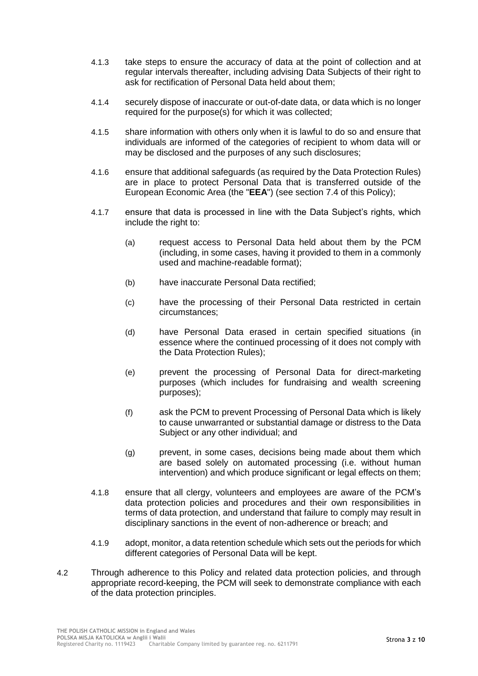- 4.1.3 take steps to ensure the accuracy of data at the point of collection and at regular intervals thereafter, including advising Data Subjects of their right to ask for rectification of Personal Data held about them;
- 4.1.4 securely dispose of inaccurate or out-of-date data, or data which is no longer required for the purpose(s) for which it was collected;
- 4.1.5 share information with others only when it is lawful to do so and ensure that individuals are informed of the categories of recipient to whom data will or may be disclosed and the purposes of any such disclosures;
- 4.1.6 ensure that additional safeguards (as required by the Data Protection Rules) are in place to protect Personal Data that is transferred outside of the European Economic Area (the "**EEA**") (see section [7.4](#page-7-0) of this Policy);
- 4.1.7 ensure that data is processed in line with the Data Subject's rights, which include the right to:
	- (a) request access to Personal Data held about them by the PCM (including, in some cases, having it provided to them in a commonly used and machine-readable format);
	- (b) have inaccurate Personal Data rectified;
	- (c) have the processing of their Personal Data restricted in certain circumstances;
	- (d) have Personal Data erased in certain specified situations (in essence where the continued processing of it does not comply with the Data Protection Rules);
	- (e) prevent the processing of Personal Data for direct-marketing purposes (which includes for fundraising and wealth screening purposes);
	- (f) ask the PCM to prevent Processing of Personal Data which is likely to cause unwarranted or substantial damage or distress to the Data Subject or any other individual; and
	- (g) prevent, in some cases, decisions being made about them which are based solely on automated processing (i.e. without human intervention) and which produce significant or legal effects on them;
- 4.1.8 ensure that all clergy, volunteers and employees are aware of the PCM's data protection policies and procedures and their own responsibilities in terms of data protection, and understand that failure to comply may result in disciplinary sanctions in the event of non-adherence or breach; and
- 4.1.9 adopt, monitor, a data retention schedule which sets out the periods for which different categories of Personal Data will be kept.
- 4.2 Through adherence to this Policy and related data protection policies, and through appropriate record-keeping, the PCM will seek to demonstrate compliance with each of the data protection principles.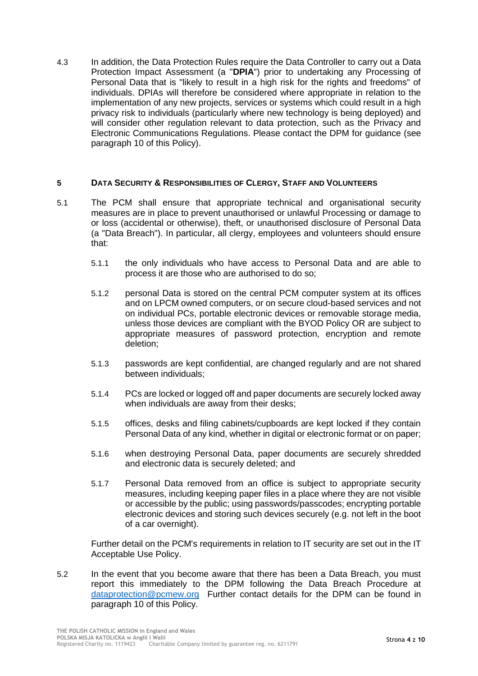4.3 In addition, the Data Protection Rules require the Data Controller to carry out a Data Protection Impact Assessment (a "**DPIA**") prior to undertaking any Processing of Personal Data that is "likely to result in a high risk for the rights and freedoms" of individuals. DPIAs will therefore be considered where appropriate in relation to the implementation of any new projects, services or systems which could result in a high privacy risk to individuals (particularly where new technology is being deployed) and will consider other regulation relevant to data protection, such as the Privacy and Electronic Communications Regulations. Please contact the DPM for guidance (see paragraph [10](#page-8-0) of this Policy).

## **5 DATA SECURITY & RESPONSIBILITIES OF CLERGY, STAFF AND VOLUNTEERS**

- 5.1 The PCM shall ensure that appropriate technical and organisational security measures are in place to prevent unauthorised or unlawful Processing or damage to or loss (accidental or otherwise), theft, or unauthorised disclosure of Personal Data (a "Data Breach"). In particular, all clergy, employees and volunteers should ensure that:
	- 5.1.1 the only individuals who have access to Personal Data and are able to process it are those who are authorised to do so;
	- 5.1.2 personal Data is stored on the central PCM computer system at its offices and on LPCM owned computers, or on secure cloud-based services and not on individual PCs, portable electronic devices or removable storage media, unless those devices are compliant with the BYOD Policy OR are subject to appropriate measures of password protection, encryption and remote deletion;
	- 5.1.3 passwords are kept confidential, are changed regularly and are not shared between individuals;
	- 5.1.4 PCs are locked or logged off and paper documents are securely locked away when individuals are away from their desks;
	- 5.1.5 offices, desks and filing cabinets/cupboards are kept locked if they contain Personal Data of any kind, whether in digital or electronic format or on paper;
	- 5.1.6 when destroying Personal Data, paper documents are securely shredded and electronic data is securely deleted; and
	- 5.1.7 Personal Data removed from an office is subject to appropriate security measures, including keeping paper files in a place where they are not visible or accessible by the public; using passwords/passcodes; encrypting portable electronic devices and storing such devices securely (e.g. not left in the boot of a car overnight).

Further detail on the PCM's requirements in relation to IT security are set out in the IT Acceptable Use Policy.

5.2 In the event that you become aware that there has been a Data Breach, you must report this immediately to the DPM following the Data Breach Procedure at [dataprotection@pcmew.org](mailto:dataprotection@pcmew.org) Further contact details for the DPM can be found in paragraph [10](#page-8-0) of this Policy.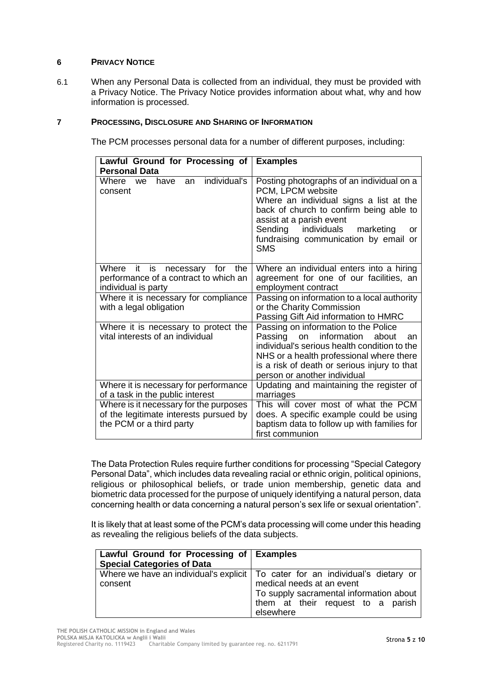## **6 PRIVACY NOTICE**

6.1 When any Personal Data is collected from an individual, they must be provided with a Privacy Notice. The Privacy Notice provides information about what, why and how information is processed.

## **7 PROCESSING, DISCLOSURE AND SHARING OF INFORMATION**

The PCM processes personal data for a number of different purposes, including:

| Lawful Ground for Processing of<br><b>Personal Data</b>                                                      | <b>Examples</b>                                                                                                                                                                                                                                                                   |
|--------------------------------------------------------------------------------------------------------------|-----------------------------------------------------------------------------------------------------------------------------------------------------------------------------------------------------------------------------------------------------------------------------------|
| individual's<br>Where<br>have<br>an<br>we<br>consent                                                         | Posting photographs of an individual on a<br>PCM, LPCM website<br>Where an individual signs a list at the<br>back of church to confirm being able to<br>assist at a parish event<br>Sending individuals<br>marketing<br>or<br>fundraising communication by email or<br><b>SMS</b> |
| it is<br>Where<br>necessary for<br>the<br>performance of a contract to which an<br>individual is party       | Where an individual enters into a hiring<br>agreement for one of our facilities, an<br>employment contract                                                                                                                                                                        |
| Where it is necessary for compliance<br>with a legal obligation                                              | Passing on information to a local authority<br>or the Charity Commission<br>Passing Gift Aid information to HMRC                                                                                                                                                                  |
| Where it is necessary to protect the<br>vital interests of an individual                                     | Passing on information to the Police<br>information<br>Passing<br>on<br>about<br>an<br>individual's serious health condition to the<br>NHS or a health professional where there<br>is a risk of death or serious injury to that<br>person or another individual                   |
| Where it is necessary for performance<br>of a task in the public interest                                    | Updating and maintaining the register of<br>marriages                                                                                                                                                                                                                             |
| Where is it necessary for the purposes<br>of the legitimate interests pursued by<br>the PCM or a third party | This will cover most of what the PCM<br>does. A specific example could be using<br>baptism data to follow up with families for<br>first communion                                                                                                                                 |

The Data Protection Rules require further conditions for processing "Special Category Personal Data", which includes data revealing racial or ethnic origin, political opinions, religious or philosophical beliefs, or trade union membership, genetic data and biometric data processed for the purpose of uniquely identifying a natural person, data concerning health or data concerning a natural person's sex life or sexual orientation".

It is likely that at least some of the PCM's data processing will come under this heading as revealing the religious beliefs of the data subjects.

| Lawful Ground for Processing of Examples<br><b>Special Categories of Data</b> |                                                                                                                                                                                                            |
|-------------------------------------------------------------------------------|------------------------------------------------------------------------------------------------------------------------------------------------------------------------------------------------------------|
| consent                                                                       | Where we have an individual's explicit   To cater for an individual's dietary or<br>medical needs at an event<br>To supply sacramental information about<br>them at their request to a parish<br>elsewhere |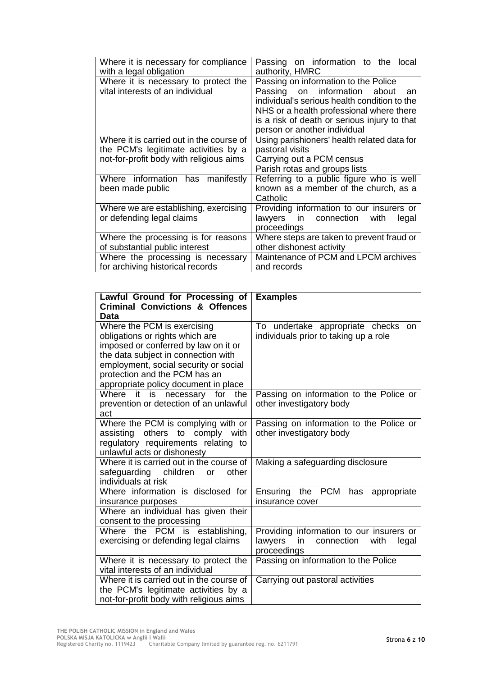| Where it is necessary for compliance<br>with a legal obligation                                                             | Passing on information to the local<br>authority, HMRC                                                                                                                                                                                                    |
|-----------------------------------------------------------------------------------------------------------------------------|-----------------------------------------------------------------------------------------------------------------------------------------------------------------------------------------------------------------------------------------------------------|
| Where it is necessary to protect the<br>vital interests of an individual                                                    | Passing on information to the Police<br>Passing on information<br>about<br>an<br>individual's serious health condition to the<br>NHS or a health professional where there<br>is a risk of death or serious injury to that<br>person or another individual |
| Where it is carried out in the course of<br>the PCM's legitimate activities by a<br>not-for-profit body with religious aims | Using parishioners' health related data for<br>pastoral visits<br>Carrying out a PCM census<br>Parish rotas and groups lists                                                                                                                              |
| Where information has manifestly<br>been made public                                                                        | Referring to a public figure who is well<br>known as a member of the church, as a<br>Catholic                                                                                                                                                             |
| Where we are establishing, exercising<br>or defending legal claims                                                          | Providing information to our insurers or<br>in connection<br>lawyers<br>with<br>legal<br>proceedings                                                                                                                                                      |
| Where the processing is for reasons<br>of substantial public interest                                                       | Where steps are taken to prevent fraud or<br>other dishonest activity                                                                                                                                                                                     |
| Where the processing is necessary<br>for archiving historical records                                                       | Maintenance of PCM and LPCM archives<br>and records                                                                                                                                                                                                       |

| Lawful Ground for Processing of<br><b>Criminal Convictions &amp; Offences</b><br>Data                                                                                                                                   | <b>Examples</b>                                                                                         |
|-------------------------------------------------------------------------------------------------------------------------------------------------------------------------------------------------------------------------|---------------------------------------------------------------------------------------------------------|
| Where the PCM is exercising<br>obligations or rights which are<br>imposed or conferred by law on it or<br>the data subject in connection with<br>employment, social security or social<br>protection and the PCM has an | To undertake appropriate checks<br>on.<br>individuals prior to taking up a role                         |
| appropriate policy document in place<br>Where it is necessary for the<br>prevention or detection of an unlawful<br>act                                                                                                  | Passing on information to the Police or<br>other investigatory body                                     |
| Where the PCM is complying with or<br>assisting others to comply with<br>regulatory requirements relating to<br>unlawful acts or dishonesty                                                                             | Passing on information to the Police or<br>other investigatory body                                     |
| Where it is carried out in the course of<br>safeguarding children<br>other<br>or<br>individuals at risk                                                                                                                 | Making a safeguarding disclosure                                                                        |
| Where information is disclosed for<br>insurance purposes                                                                                                                                                                | <b>PCM</b><br>Ensuring<br>the<br>has<br>appropriate<br>insurance cover                                  |
| Where an individual has given their<br>consent to the processing                                                                                                                                                        |                                                                                                         |
| Where the PCM is establishing,<br>exercising or defending legal claims                                                                                                                                                  | Providing information to our insurers or<br>lawyers<br>in<br>connection<br>with<br>legal<br>proceedings |
| Where it is necessary to protect the<br>vital interests of an individual                                                                                                                                                | Passing on information to the Police                                                                    |
| Where it is carried out in the course of<br>the PCM's legitimate activities by a<br>not-for-profit body with religious aims                                                                                             | Carrying out pastoral activities                                                                        |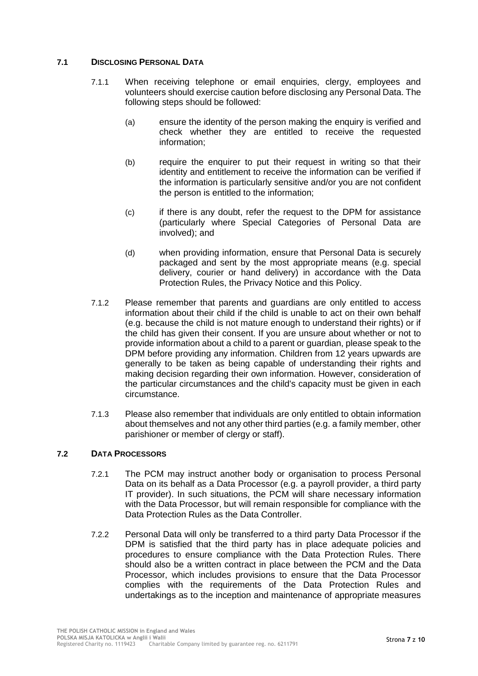## **7.1 DISCLOSING PERSONAL DATA**

- 7.1.1 When receiving telephone or email enquiries, clergy, employees and volunteers should exercise caution before disclosing any Personal Data. The following steps should be followed:
	- (a) ensure the identity of the person making the enquiry is verified and check whether they are entitled to receive the requested information;
	- (b) require the enquirer to put their request in writing so that their identity and entitlement to receive the information can be verified if the information is particularly sensitive and/or you are not confident the person is entitled to the information;
	- (c) if there is any doubt, refer the request to the DPM for assistance (particularly where Special Categories of Personal Data are involved); and
	- (d) when providing information, ensure that Personal Data is securely packaged and sent by the most appropriate means (e.g. special delivery, courier or hand delivery) in accordance with the Data Protection Rules, the Privacy Notice and this Policy.
- 7.1.2 Please remember that parents and guardians are only entitled to access information about their child if the child is unable to act on their own behalf (e.g. because the child is not mature enough to understand their rights) or if the child has given their consent. If you are unsure about whether or not to provide information about a child to a parent or guardian, please speak to the DPM before providing any information. Children from 12 years upwards are generally to be taken as being capable of understanding their rights and making decision regarding their own information. However, consideration of the particular circumstances and the child's capacity must be given in each circumstance.
- 7.1.3 Please also remember that individuals are only entitled to obtain information about themselves and not any other third parties (e.g. a family member, other parishioner or member of clergy or staff).

## **7.2 DATA PROCESSORS**

- 7.2.1 The PCM may instruct another body or organisation to process Personal Data on its behalf as a Data Processor (e.g. a payroll provider, a third party IT provider). In such situations, the PCM will share necessary information with the Data Processor, but will remain responsible for compliance with the Data Protection Rules as the Data Controller.
- 7.2.2 Personal Data will only be transferred to a third party Data Processor if the DPM is satisfied that the third party has in place adequate policies and procedures to ensure compliance with the Data Protection Rules. There should also be a written contract in place between the PCM and the Data Processor, which includes provisions to ensure that the Data Processor complies with the requirements of the Data Protection Rules and undertakings as to the inception and maintenance of appropriate measures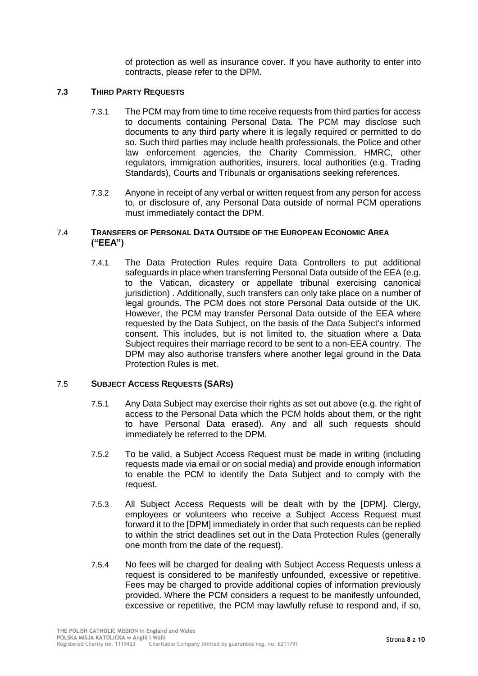of protection as well as insurance cover. If you have authority to enter into contracts, please refer to the DPM.

## **7.3 THIRD PARTY REQUESTS**

- 7.3.1 The PCM may from time to time receive requests from third parties for access to documents containing Personal Data. The PCM may disclose such documents to any third party where it is legally required or permitted to do so. Such third parties may include health professionals, the Police and other law enforcement agencies, the Charity Commission, HMRC, other regulators, immigration authorities, insurers, local authorities (e.g. Trading Standards), Courts and Tribunals or organisations seeking references.
- 7.3.2 Anyone in receipt of any verbal or written request from any person for access to, or disclosure of, any Personal Data outside of normal PCM operations must immediately contact the DPM.

## <span id="page-7-0"></span>7.4 **TRANSFERS OF PERSONAL DATA OUTSIDE OF THE EUROPEAN ECONOMIC AREA ("EEA")**

7.4.1 The Data Protection Rules require Data Controllers to put additional safeguards in place when transferring Personal Data outside of the EEA (e.g. to the Vatican, dicastery or appellate tribunal exercising canonical jurisdiction) . Additionally, such transfers can only take place on a number of legal grounds. The PCM does not store Personal Data outside of the UK. However, the PCM may transfer Personal Data outside of the EEA where requested by the Data Subject, on the basis of the Data Subject's informed consent. This includes, but is not limited to, the situation where a Data Subject requires their marriage record to be sent to a non-EEA country. The DPM may also authorise transfers where another legal ground in the Data Protection Rules is met.

## 7.5 **SUBJECT ACCESS REQUESTS (SARS)**

- 7.5.1 Any Data Subject may exercise their rights as set out above (e.g. the right of access to the Personal Data which the PCM holds about them, or the right to have Personal Data erased). Any and all such requests should immediately be referred to the DPM.
- 7.5.2 To be valid, a Subject Access Request must be made in writing (including requests made via email or on social media) and provide enough information to enable the PCM to identify the Data Subject and to comply with the request.
- 7.5.3 All Subject Access Requests will be dealt with by the [DPM]. Clergy, employees or volunteers who receive a Subject Access Request must forward it to the [DPM] immediately in order that such requests can be replied to within the strict deadlines set out in the Data Protection Rules (generally one month from the date of the request).
- 7.5.4 No fees will be charged for dealing with Subject Access Requests unless a request is considered to be manifestly unfounded, excessive or repetitive. Fees may be charged to provide additional copies of information previously provided. Where the PCM considers a request to be manifestly unfounded, excessive or repetitive, the PCM may lawfully refuse to respond and, if so,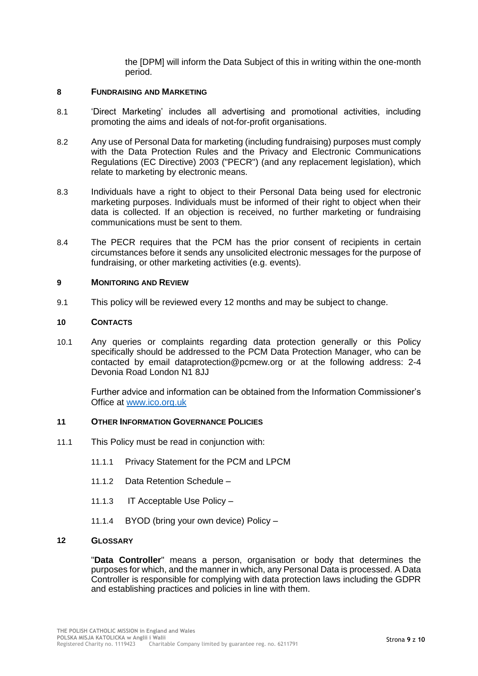the [DPM] will inform the Data Subject of this in writing within the one-month period.

#### **8 FUNDRAISING AND MARKETING**

- 8.1 'Direct Marketing' includes all advertising and promotional activities, including promoting the aims and ideals of not-for-profit organisations.
- 8.2 Any use of Personal Data for marketing (including fundraising) purposes must comply with the Data Protection Rules and the Privacy and Electronic Communications Regulations (EC Directive) 2003 ("PECR") (and any replacement legislation), which relate to marketing by electronic means.
- 8.3 Individuals have a right to object to their Personal Data being used for electronic marketing purposes. Individuals must be informed of their right to object when their data is collected. If an objection is received, no further marketing or fundraising communications must be sent to them.
- 8.4 The PECR requires that the PCM has the prior consent of recipients in certain circumstances before it sends any unsolicited electronic messages for the purpose of fundraising, or other marketing activities (e.g. events).

#### **9 MONITORING AND REVIEW**

9.1 This policy will be reviewed every 12 months and may be subject to change.

## <span id="page-8-0"></span>**10 CONTACTS**

10.1 Any queries or complaints regarding data protection generally or this Policy specifically should be addressed to the PCM Data Protection Manager, who can be contacted by email dataprotection@pcmew.org or at the following address: 2-4 Devonia Road London N1 8JJ

Further advice and information can be obtained from the Information Commissioner's Office at [www.ico.org.uk](http://www.ico.org.uk/)

## **11 OTHER INFORMATION GOVERNANCE POLICIES**

- 11.1 This Policy must be read in conjunction with:
	- 11.1.1 Privacy Statement for the PCM and LPCM
	- 11.1.2 Data Retention Schedule –
	- 11.1.3 IT Acceptable Use Policy –
	- 11.1.4 BYOD (bring your own device) Policy –

## **12 GLOSSARY**

"**Data Controller**" means a person, organisation or body that determines the purposes for which, and the manner in which, any Personal Data is processed. A Data Controller is responsible for complying with data protection laws including the GDPR and establishing practices and policies in line with them.